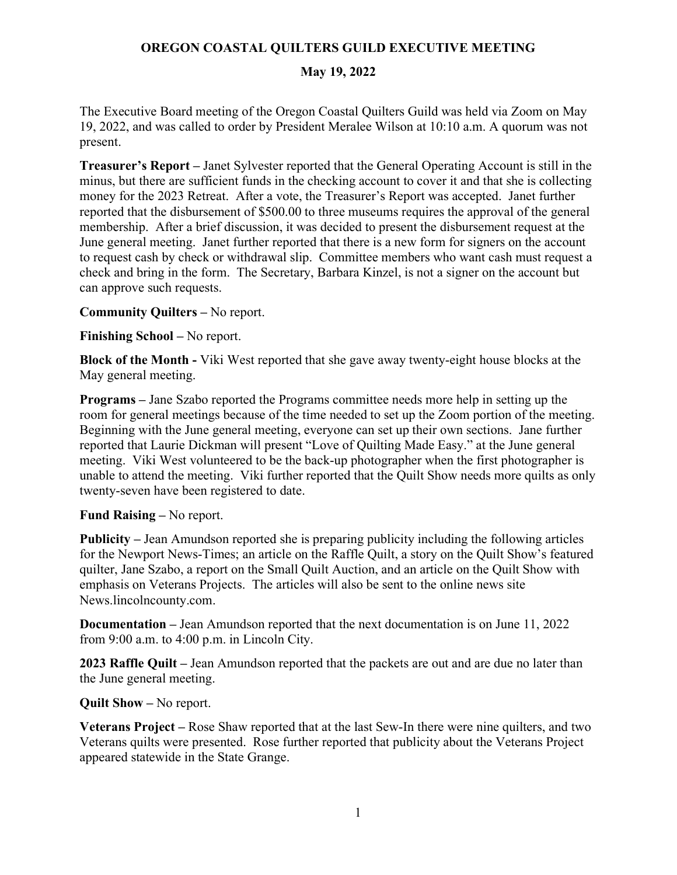# **OREGON COASTAL QUILTERS GUILD EXECUTIVE MEETING**

### **May 19, 2022**

The Executive Board meeting of the Oregon Coastal Quilters Guild was held via Zoom on May 19, 2022, and was called to order by President Meralee Wilson at 10:10 a.m. A quorum was not present.

**Treasurer's Report –** Janet Sylvester reported that the General Operating Account is still in the minus, but there are sufficient funds in the checking account to cover it and that she is collecting money for the 2023 Retreat. After a vote, the Treasurer's Report was accepted. Janet further reported that the disbursement of \$500.00 to three museums requires the approval of the general membership. After a brief discussion, it was decided to present the disbursement request at the June general meeting. Janet further reported that there is a new form for signers on the account to request cash by check or withdrawal slip. Committee members who want cash must request a check and bring in the form. The Secretary, Barbara Kinzel, is not a signer on the account but can approve such requests.

**Community Quilters –** No report.

**Finishing School –** No report.

**Block of the Month -** Viki West reported that she gave away twenty-eight house blocks at the May general meeting.

**Programs –** Jane Szabo reported the Programs committee needs more help in setting up the room for general meetings because of the time needed to set up the Zoom portion of the meeting. Beginning with the June general meeting, everyone can set up their own sections. Jane further reported that Laurie Dickman will present "Love of Quilting Made Easy." at the June general meeting. Viki West volunteered to be the back-up photographer when the first photographer is unable to attend the meeting. Viki further reported that the Quilt Show needs more quilts as only twenty-seven have been registered to date.

#### **Fund Raising –** No report.

**Publicity –** Jean Amundson reported she is preparing publicity including the following articles for the Newport News-Times; an article on the Raffle Quilt, a story on the Quilt Show's featured quilter, Jane Szabo, a report on the Small Quilt Auction, and an article on the Quilt Show with emphasis on Veterans Projects. The articles will also be sent to the online news site News.lincolncounty.com.

**Documentation –** Jean Amundson reported that the next documentation is on June 11, 2022 from 9:00 a.m. to 4:00 p.m. in Lincoln City.

**2023 Raffle Quilt –** Jean Amundson reported that the packets are out and are due no later than the June general meeting.

**Quilt Show –** No report.

**Veterans Project –** Rose Shaw reported that at the last Sew-In there were nine quilters, and two Veterans quilts were presented. Rose further reported that publicity about the Veterans Project appeared statewide in the State Grange.